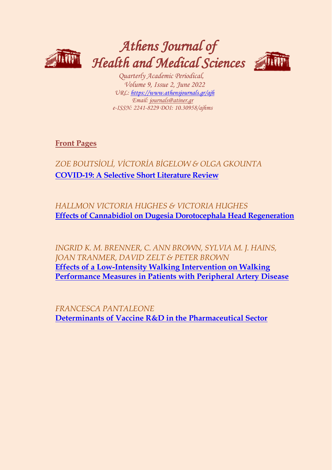

# *Athens Journal of Health and Medical Sciences Quarterly Academic Periodical,*



*Volume 9, Issue 2, June 2022 URL: <https://www.athensjournals.gr/ajh> Email: [journals@atiner.gr](mailto:journals@atiner.gr) e-ISSN: 2241-8229 DOI: 10.30958/ajhms*

**[Front Pages](https://www.athensjournals.gr/health/Cover-2022-02HEA.pdf)**

*ZOE BOUTSİOLİ, VİCTORİA BİGELOW & OLGA GKOUNTA* **[COVID-19: A Selective Short Literature Review](http://www.athensjournals.gr/health/2022-9-2-1-Boutsioli.pdf)**

*HALLMON VICTORIA HUGHES & VICTORIA HUGHES*  **[Effects of Cannabidiol on Dugesia Dorotocephala Head Regeneration](http://www.athensjournals.gr/health/2022-9-2-2-Hughes.pdf)**

*INGRID K. M. BRENNER, C. ANN BROWN, SYLVIA M. J. HAINS, JOAN TRANMER, DAVID ZELT & PETER BROWN* **[Effects of a Low-Intensity Walking Intervention on Walking](http://www.athensjournals.gr/health/2022-9-2-3-Brenner.pdf)  [Performance Measures in Patients with Peripheral Artery Disease](http://www.athensjournals.gr/health/2022-9-2-3-Brenner.pdf)**

*FRANCESCA PANTALEONE* **[Determinants of Vaccine R&D in the Pharmaceutical Sector](http://www.athensjournals.gr/health/2022-9-2-4-Pantaleone.pdf)**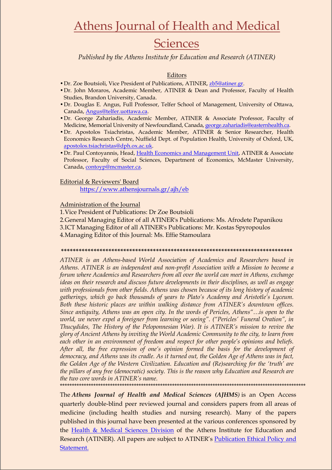## Athens Journal of Health and Medical

## **Sciences**

*Published by the Athens Institute for Education and Research (ATINER)*

### Editors

- •Dr. Zoe Boutsioli, Vice President of Publications, ATINER, [zb5@atiner.gr.](mailto:zb5@atiner.gr)
- •Dr. John Moraros, Academic Member, ATINER & Dean and Professor, Faculty of Health Studies, Brandon University, Canada.
- •Dr. Douglas E. Angus, Full Professor, Telfer School of Management, University of Ottawa, Canada[, Angus@telfer.uottawa.ca.](mailto:Angus@telfer.uottawa.ca)
- •Dr. George Zahariadis, Academic Member, ATINER & Associate Professor, Faculty of Medicine, Memorial University of Newfoundland, Canada[, george.zahariadis@easternhealth.ca.](mailto:george.zahariadis@easternhealth.ca)
- •Dr. Apostolos Tsiachristas, Academic Member, ATINER & Senior Researcher, Health Economics Research Centre, Nuffield Dept. of Population Health, University of Oxford, UK, [apostolos.tsiachristas@dph.ox.ac.uk.](mailto:apostolos.tsiachristas@dph.ox.ac.uk)
- •Dr. Paul Contoyannis, Head, [Health Economics and Management Unit,](http://www.atiner.gr/HEALTH-UNIT.htm) ATINER & Associate Professor, Faculty of Social Sciences, Department of Economics, McMaster University, Canada[, contoyp@mcmaster.ca.](mailto:contoyp@mcmaster.ca)

#### Editorial & Reviewers' Board

<https://www.athensjournals.gr/ajh/eb>

Administration of the Journal

- 1.Vice President of Publications: Dr Zoe Boutsioli
- 2.General Managing Editor of all ATINER's Publications: Ms. Afrodete Papanikou 3.ICT Managing Editor of all ATINER's Publications: Mr. Kostas Spyropoulos

4.Managing Editor of this Journal: Ms. Effie Stamoulara

#### **\*\*\*\*\*\*\*\*\*\*\*\*\*\*\*\*\*\*\*\*\*\*\*\*\*\*\*\*\*\*\*\*\*\*\*\*\*\*\*\*\*\*\*\*\*\*\*\*\*\*\*\*\*\*\*\*\*\*\*\*\*\*\*\*\*\*\*\*\*\*\*\*\*\*\*\*\*\***

*ATINER is an Athens-based World Association of Academics and Researchers based in Athens. ATINER is an independent and non-profit Association with a Mission to become a forum where Academics and Researchers from all over the world can meet in Athens, exchange ideas on their research and discuss future developments in their disciplines, as well as engage with professionals from other fields. Athens was chosen because of its long history of academic gatherings, which go back thousands of years to Plato's Academy and Aristotle's Lyceum. Both these historic places are within walking distance from ATINER's downtown offices. Since antiquity, Athens was an open city. In the words of Pericles, Athens"…is open to the world, we never expel a foreigner from learning or seeing". ("Pericles' Funeral Oration", in Thucydides, The History of the Peloponnesian War). It is ATINER's mission to revive the glory of Ancient Athens by inviting the World Academic Community to the city, to learn from each other in an environment of freedom and respect for other people's opinions and beliefs. After all, the free expression of one's opinion formed the basis for the development of democracy, and Athens was its cradle. As it turned out, the Golden Age of Athens was in fact, the Golden Age of the Western Civilization. Education and (Re)searching for the 'truth' are the pillars of any free (democratic) society. This is the reason why Education and Research are the two core words in ATINER's name.*

\*\*\*\*\*\*\*\*\*\*\*\*\*\*\*\*\*\*\*\*\*\*\*\*\*\*\*\*\*\*\*\*\*\*\*\*\*\*\*\*\*\*\*\*\*\*\*\*\*\*\*\*\*\*\*\*\*\*\*\*\*\*\*\*\*\*\*\*\*\*\*\*\*\*\*\*\*\*\*\*\*\*\*\*\*\*\*\*\*\*\*\*\*\*\*\*\*\*\*\*\*\*\*

The *Athens Journal of Health and Medical Sciences (AJHMS)* is an Open Access quarterly double-blind peer reviewed journal and considers papers from all areas of medicine (including health studies and nursing research). Many of the papers published in this journal have been presented at the various conferences sponsored by the [Health & Medical Sciences Division](http://www.atiner.gr/hsrd.htm) of the Athens Institute for Education and Research (ATINER). All papers are subject to ATINER's Publication [Ethical Policy and](https://www.athensjournals.gr/ethics.pdf)  [Statement.](https://www.athensjournals.gr/ethics.pdf)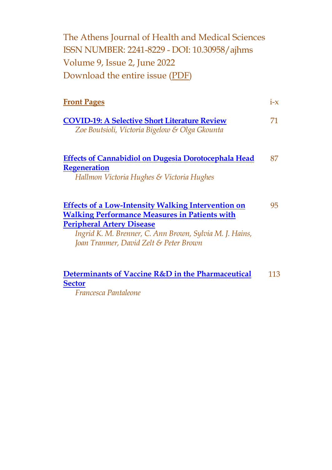The Athens Journal of Health and Medical Sciences ISSN NUMBER: 2241-8229 - DOI: 10.30958/ajhms Volume 9, Issue 2, June 2022 Download the entire issue [\(PDF\)](https://www.athensjournals.gr/health/2022-02HEA.pdf)

| <b>Front Pages</b>                                                                                                                                                                                                                                         | $1 - X$ |
|------------------------------------------------------------------------------------------------------------------------------------------------------------------------------------------------------------------------------------------------------------|---------|
| <b>COVID-19: A Selective Short Literature Review</b><br>Zoe Boutsioli, Victoria Bigelow & Olga Gkounta                                                                                                                                                     | 71      |
| <b>Effects of Cannabidiol on Dugesia Dorotocephala Head</b><br><b>Regeneration</b><br>Hallmon Victoria Hughes & Victoria Hughes                                                                                                                            | 87      |
| <b>Effects of a Low-Intensity Walking Intervention on</b><br><b>Walking Performance Measures in Patients with</b><br><b>Peripheral Artery Disease</b><br>Ingrid K. M. Brenner, C. Ann Brown, Sylvia M. J. Hains,<br>Joan Tranmer, David Zelt & Peter Brown | 95      |
| Determinants of Vaccine R&D in the Pharmaceutical                                                                                                                                                                                                          | 113     |

### **[Sector](http://www.athensjournals.gr/health/2022-9-2-4-Pantaleone.pdf)**

*Francesca Pantaleone*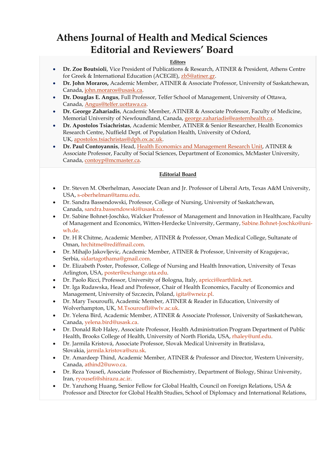## **Athens Journal of Health and Medical Sciences Editorial and Reviewers' Board**

#### **Editors**

- **Dr. Zoe Boutsioli**, Vice President of Publications & Research, ATINER & President, Athens Centre for Greek & International Education (ACEGIE), [zb5@atiner.gr.](mailto:zb5@atiner.gr)
- **Dr. John Moraros,** Academic Member, ATINER & Associate Professor, University of Saskatchewan, Canada, [john.moraros@usask.ca.](mailto:john.moraros@usask.ca)
- **Dr. Douglas E. Angus**, Full Professor, Telfer School of Management, University of Ottawa, Canada, [Angus@telfer.uottawa.ca.](mailto:Angus@telfer.uottawa.ca)
- **Dr. George Zahariadis**, Academic Member, ATINER & Associate Professor, Faculty of Medicine, Memorial University of Newfoundland, Canada, [george.zahariadis@easternhealth.ca.](mailto:george.zahariadis@easternhealth.ca)
- **Dr. Apostolos Tsiachristas**, Academic Member, ATINER & Senior Researcher, Health Economics Research Centre, Nuffield Dept. of Population Health, University of Oxford, UK, [apostolos.tsiachristas@dph.ox.ac.uk.](mailto:apostolos.tsiachristas@dph.ox.ac.uk)
- **Dr. Paul Contoyannis**, Head, [Health Economics and Management Research Unit,](http://www.atiner.gr/HEALTH-UNIT.htm) ATINER & Associate Professor, Faculty of Social Sciences, Department of Economics, McMaster University, Canada, [contoyp@mcmaster.ca.](mailto:contoyp@mcmaster.ca)

#### **Editorial Board**

- Dr. Steven M. Oberhelman, Associate Dean and Jr. Professor of Liberal Arts, Texas A&M University, USA, [s-oberhelman@tamu.edu.](mailto:s-oberhelman@tamu.edu)
- Dr. Sandra Bassendowski, Professor, College of Nursing, University of Saskatchewan, Canada, [sandra.bassendowski@usask.ca.](mailto:sandra.bassendowski@usask.ca)
- Dr. Sabine Bohnet-Joschko, Walcker Professor of Management and Innovation in Healthcare, Faculty of Management and Economics, Witten-Herdecke University, Germany, [Sabine.Bohnet-Joschko@uni](mailto:Sabine.Bohnet-Joschko@uni-wh.de)[wh.de.](mailto:Sabine.Bohnet-Joschko@uni-wh.de)
- Dr. H R Chitme, Academic Member, ATINER & Professor, Oman Medical College, Sultanate of Oman, [hrchitme@rediffmail.com.](mailto:hrchitme@rediffmail.com)
- Dr. Mihajlo Jakovljevic, Academic Member, ATINER & Professor, University of Kragujevac, Serbia, [sidartagothama@gmail.com.](mailto:sidartagothama@gmail.com)
- Dr. Elizabeth Poster, Professor, College of Nursing and Health Innovation, University of Texas Arlington, USA, [poster@exchange.uta.edu.](mailto:poster@exchange.uta.edu)
- Dr. Paolo Ricci, Professor, University of Bologna, Italy, [apricci@earthlink.net.](mailto:apricci@earthlink.net)
- Dr. Iga Rudawska, Head and Professor, Chair of Health Economics, Faculty of Economics and Management, University of Szczecin, Poland, [igita@wneiz.pl.](mailto:igita@wneiz.pl)
- Dr. Mary Tsouroufli, Academic Member, ATINER & Reader in Education, University of Wolverhampton, UK, [M.Tsouroufli@wlv.ac.uk.](mailto:M.Tsouroufli@wlv.ac.uk)
- Dr. Yelena Bird, Academic Member, ATINER & Associate Professor, University of Saskatchewan, Canada, [yelena.bird@usask.ca.](mailto:yelena.bird@usask.ca)
- Dr. Donald Rob Haley, Associate Professor, Health Administration Program Department of Public Health, Brooks College of Health, University of North Florida, USA, [rhaley@unf.edu.](mailto:rhaley@unf.edu)
- Dr. Jarmila Kristová, Associate Professor, Slovak Medical University in Bratislava, Slovakia, [jarmila.kristova@szu.sk.](mailto:jarmila.kristova@szu.sk)
- Dr. Amardeep Thind, Academic Member, ATINER & Professor and Director, Western University, Canada, [athind2@uwo.ca.](mailto:athind2@uwo.ca)
- Dr. Reza Yousefi, Associate Professor of Biochemistry, Department of Biology, Shiraz University, Iran, [ryousefi@shirazu.ac.ir.](mailto:ryousefi@shirazu.ac.ir)
- Dr. Yanzhong Huang, Senior Fellow for Global Health, Council on Foreign Relations, USA & Professor and Director for Global Health Studies, School of Diplomacy and International Relations,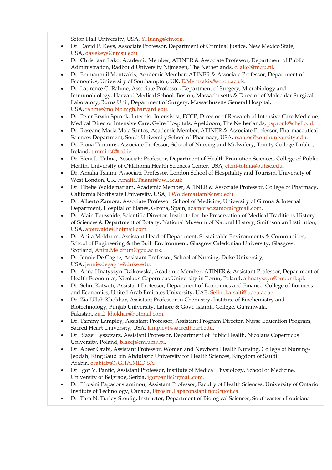Seton Hall University, USA, [YHuang@cfr.org.](mailto:YHuang@cfr.org)

- Dr. David P. Keys, Associate Professor, Department of Criminal Justice, New Mexico State, USA, [davekeys@nmsu.edu.](mailto:davekeys@nmsu.edu)
- Dr. Christiaan Lako, Academic Member, ATINER & Associate Professor, Department of Public Administration, Radboud University Nijmegen, The Netherlands, [c.lako@fm.ru.nl.](mailto:c.lako@fm.ru.nl)
- Dr. Emmanouil Mentzakis, Academic Member, ATINER & Associate Professor, Department of Economics, University of Southampton, UK, [E.Mentzakis@soton.ac.uk.](mailto:E.Mentzakis@soton.ac.uk)
- Dr. Laurence G. Rahme, Associate Professor, Department of Surgery, Microbiology and Immunobiology, Harvard Medical School, Boston, Massachusetts & Director of Molecular Surgical Laboratory, Burns Unit, Department of Surgery, Massachusetts General Hospital, USA, [rahme@molbio.mgh.harvard.edu.](mailto:rahme@molbio.mgh.harvard.edu)
- Dr. Peter Erwin Spronk, Internist-Intensivist, FCCP, Director of Research of Intensive Care Medicine, Medical Director Intensive Care, Gelre Hospitals, Apeldoorn, The Netherlands, [pspronk@chello.nl.](mailto:pspronk@chello.nl)
- Dr. Roseane Maria Maia Santos, Academic Member, ATINER & Associate Professor, Pharmaceutical Sciences Department, South University School of Pharmacy, USA, [rsantos@southuniversity.edu.](mailto:rsantos@southuniversity.edu)
- Dr. Fiona Timmins, Associate Professor, School of Nursing and Midwifery, Trinity College Dublin, Ireland, [timminsf@tcd.ie.](mailto:timminsf@tcd.ie)
- Dr. Eleni L. Tolma, Associate Professor, Department of Health Promotion Sciences, College of Public Health, University of Oklahoma Health Sciences Center, USA, [eleni-tolma@ouhsc.edu.](mailto:eleni-tolma@ouhsc.edu)
- Dr. Amalia Tsiami, Associate Professor, London School of Hospitality and Tourism, University of West London, UK, [Amalia.Tsiami@uwl.ac.uk.](mailto:Amalia.Tsiami@uwl.ac.uk)
- Dr. Tibebe Woldemariam, Academic Member, ATINER & Associate Professor, College of Pharmacy, California Northstate University, USA, [TWoldemariam@cnsu.edu.](mailto:TWoldemariam@cnsu.edu)
- Dr. Alberto Zamora, Associate Professor, School of Medicine, University of Girona & Internal Department, Hospital of Blanes, Girona, Spain, [azamorac.zamora@gmail.com.](mailto:azamorac.zamora@gmail.com)
- Dr. Alain Touwaide, Scientific Director, Institute for the Preservation of Medical Traditions History of Sciences & Department of Botany, National Museum of Natural History, Smithsonian Institution, USA, [atouwaide@hotmail.com.](mailto:atouwaide@hotmail.com)
- Dr. Anita Meldrum, Assistant Head of Department, Sustainable Environments & Communities, School of Engineering & the Built Environment, Glasgow Caledonian University, Glasgow, Scotland, [Anita.Meldrum@gcu.ac.uk.](mailto:Anita.Meldrum@gcu.ac.uk)
- Dr. Jennie De Gagne, Assistant Professor, School of Nursing, Duke University, USA, [jennie.degagne@duke.edu.](mailto:jennie.degagne@duke.edu)
- Dr. Anna Hnatyszyn-Dzikowska, Academic Member, ATINER & Assistant Professor, Department of Health Economics, Nicolaus Copernicus University in Torun, Poland, [a.hnatyszyn@cm.umk.pl.](mailto:a.hnatyszyn@cm.umk.pl)
- Dr. Selini Katsaiti, Assistant Professor, Department of Economics and Finance, College of Business and Economics, United Arab Emirates University, UAE, [Selini.katsaiti@uaeu.ac.ae.](mailto:Selini.katsaiti@uaeu.ac.ae)
- Dr. Zia-Ullah Khokhar, Assistant Professor in Chemistry, Institute of Biochemistry and Biotechnology, Punjab University, Lahore & Govt. Islamia College, Gujranwala, Pakistan, [zia2\\_khokhar@hotmail.com.](mailto:zia2_khokhar@hotmail.com)
- Dr. Tammy Lampley, Assistant Professor, Assistant Program Director, Nurse Education Program, Sacred Heart University, USA, [lampleyt@sacredheart.edu.](mailto:lampleyt@sacredheart.edu)
- Dr. Blazej Lyszczarz, Assistant Professor, Department of Public Health, Nicolaus Copernicus University, Poland, [blazej@cm.umk.pl.](mailto:blazej@cm.umk.pl)
- Dr. Abeer Orabi, Assistant Professor, Women and Newborn Health Nursing, College of Nursing-Jeddah, King Saud bin Abdulaziz University for Health Sciences, Kingdom of Saudi Arabia, [orabiab@NGHA.MED.SA.](mailto:orabiab@NGHA.MED.SA)
- Dr. Igor V. Pantic, Assistant Professor, Institute of Medical Physiology, School of Medicine, University of Belgrade, Serbia, [igorpantic@gmail.com.](mailto:igorpantic@gmail.com)
- Dr. Efrosini Papaconstantinou, Assistant Professor, Faculty of Health Sciences, University of Ontario Institute of Technology, Canada, [Efrosini.Papaconstantinou@uoit.ca.](mailto:Efrosini.Papaconstantinou@uoit.ca)
- Dr. Tara N. Turley-Stoulig, Instructor, Department of Biological Sciences, Southeastern Louisiana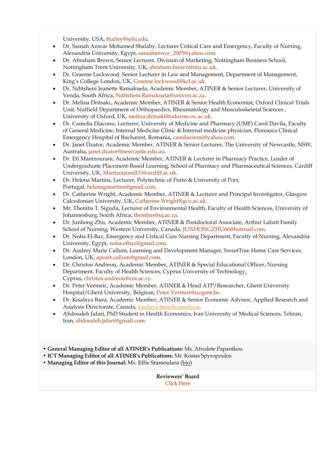University, USA, [tturley@selu.edu.](mailto:tturley@selu.edu)

- Dr. Samah Anwar Mohamed Shalaby, Lecturer Critical Care and Emergency, Faculty of Nursing, Alexandria University, Egypt, [samahanwar\\_2005@yahoo.com.](mailto:samahanwar_2005@yahoo.com)
- Dr. Abraham Brown, Senior Lecturer, Division of Marketing, Nottingham Business School, Nottingham Trent University, UK, [abraham.brown@ntu.ac.uk.](mailto:abraham.brown@ntu.ac.uk)
- Dr. Graeme Lockwood, Senior Lecturer in Law and Management, Department of Management, King's College London, UK, [Graeme.lockwood@kcl.ac.uk.](mailto:Graeme.lockwood@kcl.ac.uk)
- Dr. Nditsheni Jeanette Ramakuela, Academic Member, ATINER & Senior Lecturer, University of Venda, South Africa, [Nditsheni.Ramakuela@univen.ac.za.](mailto:Nditsheni.Ramakuela@univen.ac.za)
- Dr. Melina Dritsaki, Academic Member, ATINER & Senior Health Economist, Oxford Clinical Trials Unit, Nuffield Department of Orthopaedics, Rheumatology and Musculoskeletal Sciences , University of Oxford, UK, [melina.dritsaki@ndorms.ox.ac.uk.](mailto:melina.dritsaki@ndorms.ox.ac.uk)
- Dr. Camelia Diaconu, Lecturer, University of Medicine and Pharmacy (UMF) Carol Davila, Faculty of General Medicine, Internal Medicine Clinic & Internal medicine physician, Floreasca Clinical Emergency Hospital of Bucharest, Romania, [camiluciemi@yahoo.com.](mailto:camiluciemi@yahoo.com)
- Dr. Janet Dzator, Academic Member, ATINER & Senior Lecturer, The University of Newcastle, NSW, Australia, [janet.dzator@newcastle.edu.au.](mailto:janet.dzator@newcastle.edu.au)
- Dr. Efi Mantzourani, Academic Member, ATINER & Lecturer in Pharmacy Practice, Leader of Undergraduate Placement-Based Learning, School of Pharmacy and Pharmaceutical Sciences, Cardiff University, UK, [MantzouraniE1@cardiff.ac.uk.](mailto:MantzouraniE1@cardiff.ac.uk)
- Dr. Helena Martins, Lecturer, Polytechnic of Porto & University of Port, Portugal, [helenagmartins@gmail.com.](mailto:helenagmartins@gmail.com)
- Dr. Catherine Wright, Academic Member, ATINER & Lecturer and Principal Investigator, Glasgow Calcedonian University, UK, [Catherine.Wright@gcu.ac.uk.](mailto:Catherine.Wright@gcu.ac.uk)
- Mr. Themba T. Sigudu, Lecturer of Environmental Health, Faculty of Health Sciences, University of Johannesburg, South Africa, [thembas@uj.ac.za.](mailto:thembas@uj.ac.za)
- Dr. Junhong Zhu, Academic Member, ATINER & Postdoctoral Associate, Arthur Labatt Family School of Nursing, Western University, Canada, [JUNHONGZHU66@hotmail.com.](mailto:JUNHONGZHU66@hotmail.com)
- Dr. Noha El-Baz, Emergency and Critical Care Nursing Department, Faculty of Nursing, Alexandria University, Egypt, [noha.elbaz@gmail.com.](mailto:noha.elbaz@gmail.com)
- Dr. Audrey Marie Callum, Learning and Development Manager, SweetTree Home Care Services, London, UK, [apeart.callum@gmail.com.](mailto:apeart.callum@gmail.com)
- Dr. Christos Andreou, Academic Member, ATINER & Special Educational Officer, Nursing Department, Faculty of Health Sciences, Cyprus University of Technology, Cyprus, [christos.andreou@cut.ac.cy.](mailto:christos.andreou@cut.ac.cy)
- Dr. Peter Vermeir, Academic Member, ATINER & Head ATP/Researcher, Ghent University Hospital/Ghent University, Belgium, [Peter.Vermeir@uzgent.be.](mailto:Peter.Vermeir@uzgent.be)
- Dr. Kisalaya Basu, Academic Member, ATINER & Senior Economic Advisor, Applied Research and Analysis Directorate, Canada, [kisalaya.basu@canada.ca.](mailto:kisalaya.basu@canada.ca)
- Abdosaleh Jafari, PhD Student in Health Economics, Iran University of Medical Sciences, Tehran, Iran, [abdosaleh.jafari@gmail.com.](mailto:abdosaleh.jafari@gmail.com)
- **General Managing Editor of all ATINER's Publications:** Ms. Afrodete Papanikou
- **ICT Managing Editor of all ATINER's Publications:** Mr. Kostas Spyropoulos
- **Managing Editor of this Journal:** Ms. Effie Stamoulara [\(bio\)](https://www.atiner.gr/bio/Stamoulara.pdf)

**Reviewers' Board** [Click Here](http://www.athensjournals.gr/ajhrb)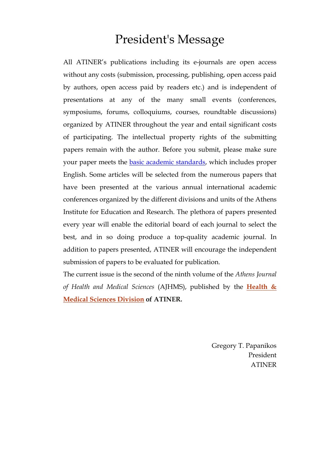## President's Message

All ATINER's publications including its e-journals are open access without any costs (submission, processing, publishing, open access paid by authors, open access paid by readers etc.) and is independent of presentations at any of the many small events (conferences, symposiums, forums, colloquiums, courses, roundtable discussions) organized by ATINER throughout the year and entail significant costs of participating. The intellectual property rights of the submitting papers remain with the author. Before you submit, please make sure your paper meets the **basic academic standards**, which includes proper English. Some articles will be selected from the numerous papers that have been presented at the various annual international academic conferences organized by the different divisions and units of the Athens Institute for Education and Research. The plethora of papers presented every year will enable the editorial board of each journal to select the best, and in so doing produce a top-quality academic journal. In addition to papers presented, ATINER will encourage the independent submission of papers to be evaluated for publication.

The current issue is the second of the ninth volume of the *Athens Journal of Health and Medical Sciences* (AJHMS), published by the **[Health &](http://atiner.gr/hsrd)  [Medical Sciences Division](http://atiner.gr/hsrd) of ATINER.**

> Gregory T. Papanikos President ATINER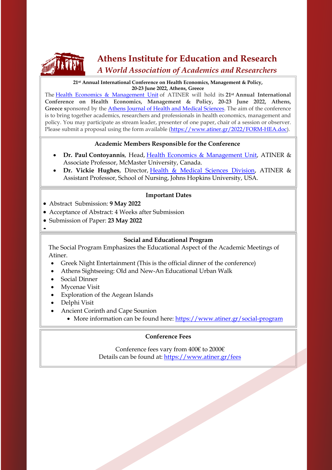

## **Athens Institute for Education and Research**

## *A World Association of Academics and Researchers*

#### **21st Annual International Conference on Health Economics, Management & Policy, 20-23 June 2022, Athens, Greece**

The [Health Economics & Management Unit](http://www.atiner.gr/HEALTH-UNIT.htm) of ATINER will hold its **21st Annual International Conference on Health Economics, Management & Policy, 20-23 June 2022, Athens,**  Greece sponsored by the **Athens Journal of Health and Medical Sciences**. The aim of the conference is to bring together academics, researchers and professionals in health economics, management and policy. You may participate as stream leader, presenter of one paper, chair of a session or observer. Please submit a proposal using the form available [\(https://www.atiner.gr/2022/FORM-HEA.doc\)](https://www.atiner.gr/2022/FORM-HEA.doc).

## **Academic Members Responsible for the Conference**

- **Dr. Paul Contoyannis**, Head, Health Economics & [Management](http://www.atiner.gr/HEALTH-UNIT.htm) Unit, ATINER & Associate Professor, McMaster University, Canada.
- **Dr. Vickie Hughes**, Director, Health & Medical Sciences [Division,](https://www.atiner.gr/hsrd) ATINER & Assistant Professor, School of Nursing, Johns Hopkins University, USA.

## **Important Dates**

- Abstract Submission: **9 May 2022**
- Acceptance of Abstract: 4 Weeks after Submission
- Submission of Paper: **23 May 2022**
- •

## **Social and Educational Program**

The Social Program Emphasizes the Educational Aspect of the Academic Meetings of Atiner.

- Greek Night Entertainment (This is the official dinner of the conference)
- Athens Sightseeing: Old and New-An Educational Urban Walk
- Social Dinner
- Mycenae Visit
- Exploration of the Aegean Islands
- Delphi Visit
- Ancient Corinth and Cape Sounion
	- More information can be found here:<https://www.atiner.gr/social-program>

## **Conference Fees**

Conference fees vary from 400€ to 2000€ Details can be found at: <https://www.atiner.gr/fees>